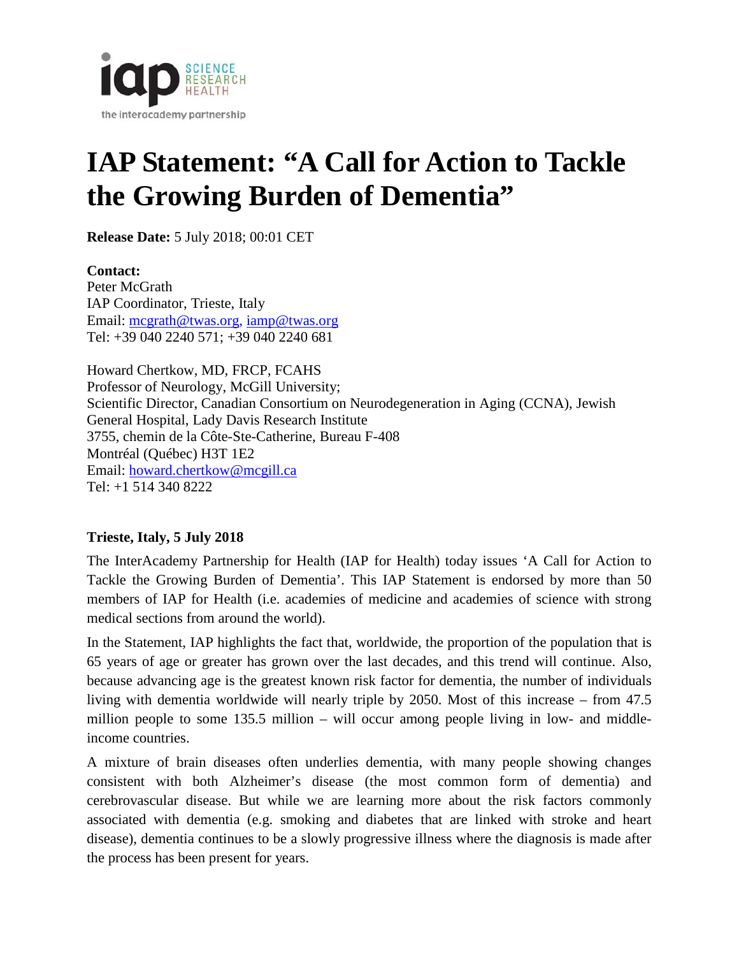

## **IAP Statement: "A Call for Action to Tackle the Growing Burden of Dementia"**

**Release Date:** 5 July 2018; 00:01 CET

**Contact:** Peter McGrath IAP Coordinator, Trieste, Italy Email: [mcgrath@twas.org,](mailto:mcgrath@twas.org) [iamp@twas.org](mailto:iamp@twas.org) Tel: +39 040 2240 571; +39 040 2240 681

Howard Chertkow, MD, FRCP, FCAHS Professor of Neurology, McGill University; Scientific Director, Canadian Consortium on Neurodegeneration in Aging (CCNA), Jewish General Hospital, Lady Davis Research Institute 3755, chemin de la Côte-Ste-Catherine, Bureau F-408 Montréal (Québec) H3T 1E2 Email: [howard.chertkow@mcgill.ca](mailto:howard.chertkow@mcgill.ca) Tel: +1 514 340 8222

## **Trieste, Italy, 5 July 2018**

The InterAcademy Partnership for Health (IAP for Health) today issues 'A Call for Action to Tackle the Growing Burden of Dementia'. This IAP Statement is endorsed by more than 50 members of IAP for Health (i.e. academies of medicine and academies of science with strong medical sections from around the world).

In the Statement, IAP highlights the fact that, worldwide, the proportion of the population that is 65 years of age or greater has grown over the last decades, and this trend will continue. Also, because advancing age is the greatest known risk factor for dementia, the number of individuals living with dementia worldwide will nearly triple by 2050. Most of this increase – from 47.5 million people to some 135.5 million – will occur among people living in low- and middleincome countries.

A mixture of brain diseases often underlies dementia, with many people showing changes consistent with both Alzheimer's disease (the most common form of dementia) and cerebrovascular disease. But while we are learning more about the risk factors commonly associated with dementia (e.g. smoking and diabetes that are linked with stroke and heart disease), dementia continues to be a slowly progressive illness where the diagnosis is made after the process has been present for years.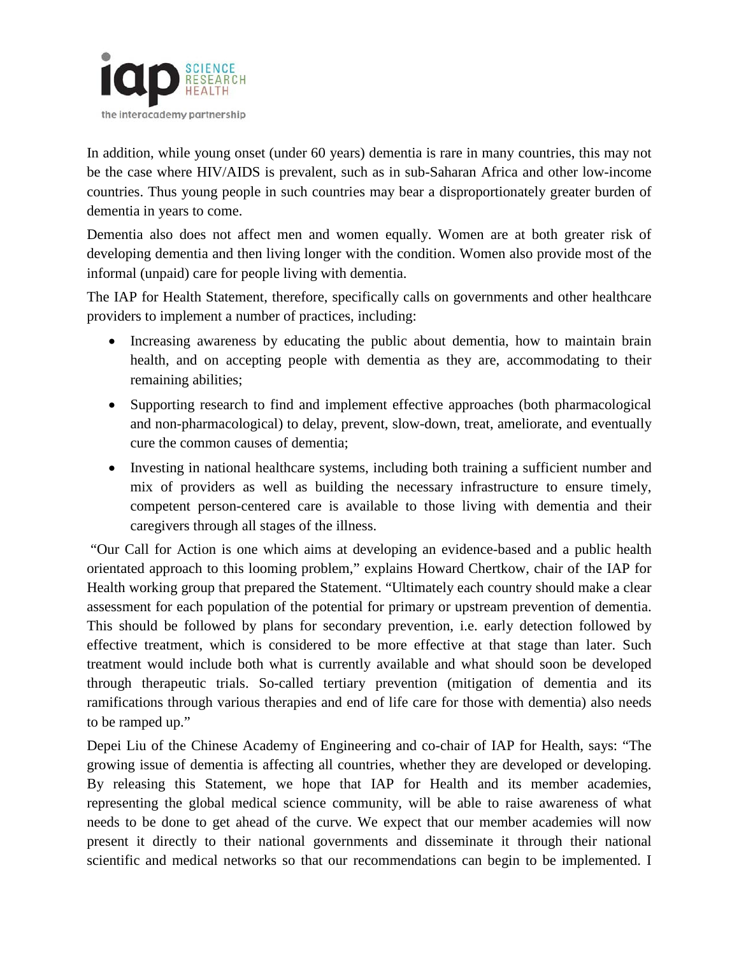

In addition, while young onset (under 60 years) dementia is rare in many countries, this may not be the case where HIV/AIDS is prevalent, such as in sub-Saharan Africa and other low-income countries. Thus young people in such countries may bear a disproportionately greater burden of dementia in years to come.

Dementia also does not affect men and women equally. Women are at both greater risk of developing dementia and then living longer with the condition. Women also provide most of the informal (unpaid) care for people living with dementia.

The IAP for Health Statement, therefore, specifically calls on governments and other healthcare providers to implement a number of practices, including:

- Increasing awareness by educating the public about dementia, how to maintain brain health, and on accepting people with dementia as they are, accommodating to their remaining abilities;
- Supporting research to find and implement effective approaches (both pharmacological and non-pharmacological) to delay, prevent, slow-down, treat, ameliorate, and eventually cure the common causes of dementia;
- Investing in national healthcare systems, including both training a sufficient number and mix of providers as well as building the necessary infrastructure to ensure timely, competent person-centered care is available to those living with dementia and their caregivers through all stages of the illness.

"Our Call for Action is one which aims at developing an evidence-based and a public health orientated approach to this looming problem," explains Howard Chertkow, chair of the IAP for Health working group that prepared the Statement. "Ultimately each country should make a clear assessment for each population of the potential for primary or upstream prevention of dementia. This should be followed by plans for secondary prevention, i.e. early detection followed by effective treatment, which is considered to be more effective at that stage than later. Such treatment would include both what is currently available and what should soon be developed through therapeutic trials. So-called tertiary prevention (mitigation of dementia and its ramifications through various therapies and end of life care for those with dementia) also needs to be ramped up."

Depei Liu of the Chinese Academy of Engineering and co-chair of IAP for Health, says: "The growing issue of dementia is affecting all countries, whether they are developed or developing. By releasing this Statement, we hope that IAP for Health and its member academies, representing the global medical science community, will be able to raise awareness of what needs to be done to get ahead of the curve. We expect that our member academies will now present it directly to their national governments and disseminate it through their national scientific and medical networks so that our recommendations can begin to be implemented. I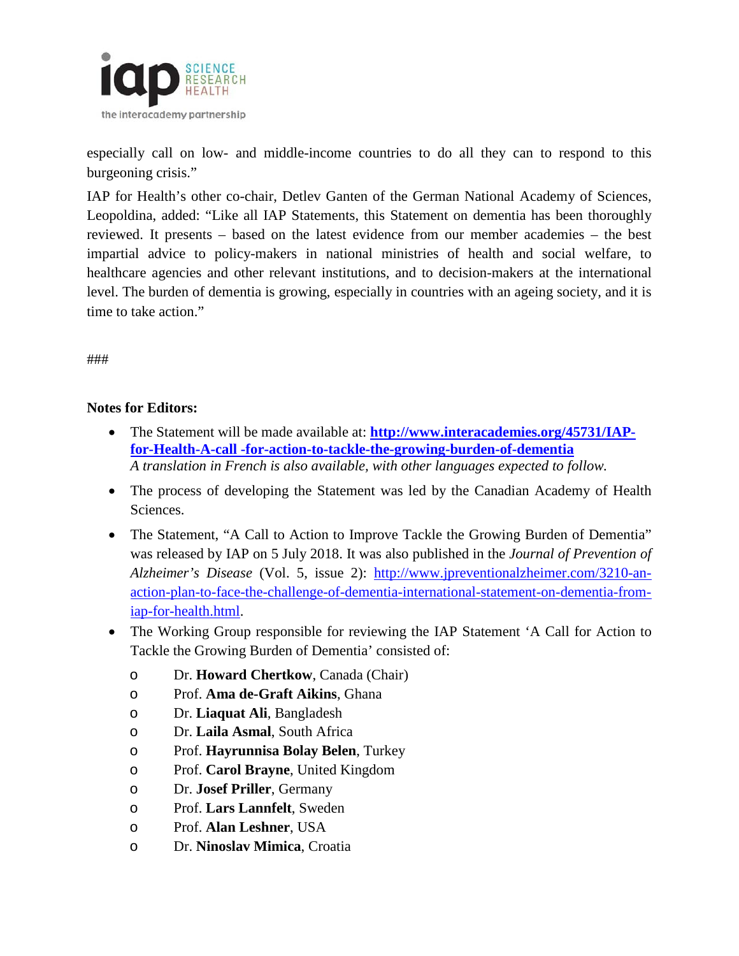

especially call on low- and middle-income countries to do all they can to respond to this burgeoning crisis."

IAP for Health's other co-chair, Detlev Ganten of the German National Academy of Sciences, Leopoldina, added: "Like all IAP Statements, this Statement on dementia has been thoroughly reviewed. It presents – based on the latest evidence from our member academies – the best impartial advice to policy-makers in national ministries of health and social welfare, to healthcare agencies and other relevant institutions, and to decision-makers at the international level. The burden of dementia is growing, especially in countries with an ageing society, and it is time to take action."

###

## **Notes for Editors:**

- The Statement will be made available at: **[http://www.interacademies.org/45731/IAP](http://www.interacademies.org/45731/IAP-for-Health-A-call%20-for-action-to-tackle-the-growing-burden-of-dementia)[for-Health-A-call -for-action-to-tackle-the-growing-burden-of-dementia](http://www.interacademies.org/45731/IAP-for-Health-A-call%20-for-action-to-tackle-the-growing-burden-of-dementia)** *A translation in French is also available, with other languages expected to follow.*
- The process of developing the Statement was led by the Canadian Academy of Health Sciences.
- The Statement, "A Call to Action to Improve Tackle the Growing Burden of Dementia" was released by IAP on 5 July 2018. It was also published in the *Journal of Prevention of Alzheimer's Disease* (Vol. 5, issue 2): [http://www.jpreventionalzheimer.com/3210-an](http://www.jpreventionalzheimer.com/3210-an-action-plan-to-face-the-challenge-of-dementia-international-statement-on-dementia-from-iap-for-health.html)[action-plan-to-face-the-challenge-of-dementia-international-statement-on-dementia-from](http://www.jpreventionalzheimer.com/3210-an-action-plan-to-face-the-challenge-of-dementia-international-statement-on-dementia-from-iap-for-health.html)[iap-for-health.html.](http://www.jpreventionalzheimer.com/3210-an-action-plan-to-face-the-challenge-of-dementia-international-statement-on-dementia-from-iap-for-health.html)
- The Working Group responsible for reviewing the IAP Statement 'A Call for Action to Tackle the Growing Burden of Dementia' consisted of:
	- o Dr. **Howard Chertkow**, Canada (Chair)
	- o Prof. **Ama de-Graft Aikins**, Ghana
	- o Dr. **Liaquat Ali**, Bangladesh
	- o Dr. **Laila Asmal**, South Africa
	- o Prof. **Hayrunnisa Bolay Belen**, Turkey
	- o Prof. **Carol Brayne**, United Kingdom
	- o Dr. **Josef Priller**, Germany
	- o Prof. **Lars Lannfelt**, Sweden
	- o Prof. **Alan Leshner**, USA
	- o Dr. **Ninoslav Mimica**, Croatia